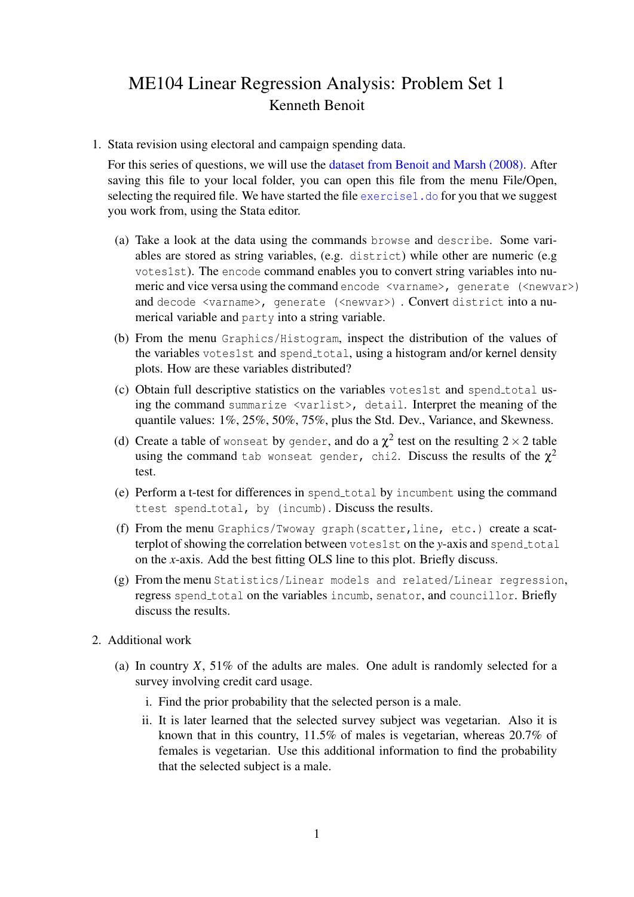## ME104 Linear Regression Analysis: Problem Set 1 Kenneth Benoit

1. Stata revision using electoral and campaign spending data.

For this series of questions, we will use the [dataset from Benoit and Marsh \(2008\).](http://www.tcd.ie/Political_Science/local/quant2/dail2002.dta) After saving this file to your local folder, you can open this file from the menu File/Open, selecting the required file. We have started the file  $\epsilon$  and  $\epsilon$  and  $\epsilon$  of the suggest you work from, using the Stata editor.

- (a) Take a look at the data using the commands browse and describe. Some variables are stored as string variables, (e.g. district) while other are numeric (e.g votes1st). The encode command enables you to convert string variables into numeric and vice versa using the command encode  $\langle \text{varname} \rangle$ , generate  $(\langle \text{newvar} \rangle)$ and decode <varname>, generate (<newvar>) . Convert district into a numerical variable and party into a string variable.
- (b) From the menu Graphics/Histogram, inspect the distribution of the values of the variables votes1st and spend total, using a histogram and/or kernel density plots. How are these variables distributed?
- (c) Obtain full descriptive statistics on the variables votes1st and spend total using the command summarize <varlist>, detail. Interpret the meaning of the quantile values: 1%, 25%, 50%, 75%, plus the Std. Dev., Variance, and Skewness.
- (d) Create a table of wonseat by gender, and do a  $\chi^2$  test on the resulting  $2\times 2$  table using the command tab wonseat gender, chi2. Discuss the results of the  $\chi^2$ test.
- (e) Perform a t-test for differences in spend\_total by incumbent using the command ttest spend\_total, by (incumb). Discuss the results.
- (f) From the menu Graphics/Twoway graph(scatter,line, etc.) create a scatterplot of showing the correlation between votes1st on the *y*-axis and spend total on the *x*-axis. Add the best fitting OLS line to this plot. Briefly discuss.
- (g) From the menu Statistics/Linear models and related/Linear regression, regress spend total on the variables incumb, senator, and councillor. Briefly discuss the results.
- 2. Additional work
	- (a) In country  $X$ , 51% of the adults are males. One adult is randomly selected for a survey involving credit card usage.
		- i. Find the prior probability that the selected person is a male.
		- ii. It is later learned that the selected survey subject was vegetarian. Also it is known that in this country, 11.5% of males is vegetarian, whereas 20.7% of females is vegetarian. Use this additional information to find the probability that the selected subject is a male.